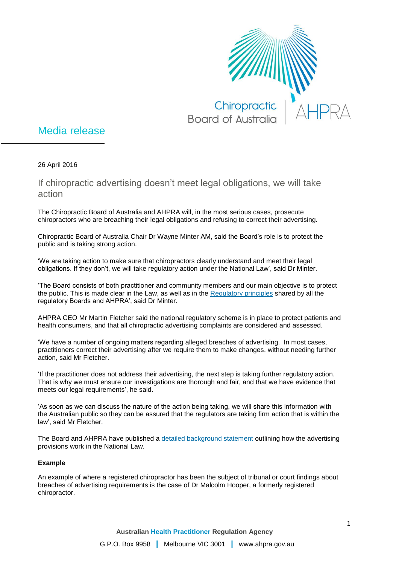

## Media release

26 April 2016

If chiropractic advertising doesn't meet legal obligations, we will take action

The Chiropractic Board of Australia and AHPRA will, in the most serious cases, prosecute chiropractors who are breaching their legal obligations and refusing to correct their advertising.

Chiropractic Board of Australia Chair Dr Wayne Minter AM, said the Board's role is to protect the public and is taking strong action.

'We are taking action to make sure that chiropractors clearly understand and meet their legal obligations. If they don't, we will take regulatory action under the National Law', said Dr Minter.

'The Board consists of both practitioner and community members and our main objective is to protect the public. This is made clear in the Law, as well as in the [Regulatory principles](http://www.ahpra.gov.au/About-AHPRA/Regulatory-principles.aspx) shared by all the regulatory Boards and AHPRA', said Dr Minter.

AHPRA CEO Mr Martin Fletcher said the national regulatory scheme is in place to protect patients and health consumers, and that all chiropractic advertising complaints are considered and assessed.

'We have a number of ongoing matters regarding alleged breaches of advertising. In most cases, practitioners correct their advertising after we require them to make changes, without needing further action, said Mr Fletcher.

'If the practitioner does not address their advertising, the next step is taking further regulatory action. That is why we must ensure our investigations are thorough and fair, and that we have evidence that meets our legal requirements', he said.

'As soon as we can discuss the nature of the action being taking, we will share this information with the Australian public so they can be assured that the regulators are taking firm action that is within the law', said Mr Fletcher.

The Board and AHPRA have published a [detailed background statement](http://www.chiropracticboard.gov.au/Codes-guidelines.aspx#positionstatements) outlining how the advertising provisions work in the National Law.

## **Example**

An example of where a registered chiropractor has been the subject of tribunal or court findings about breaches of advertising requirements is the case of Dr Malcolm Hooper, a formerly registered chiropractor.